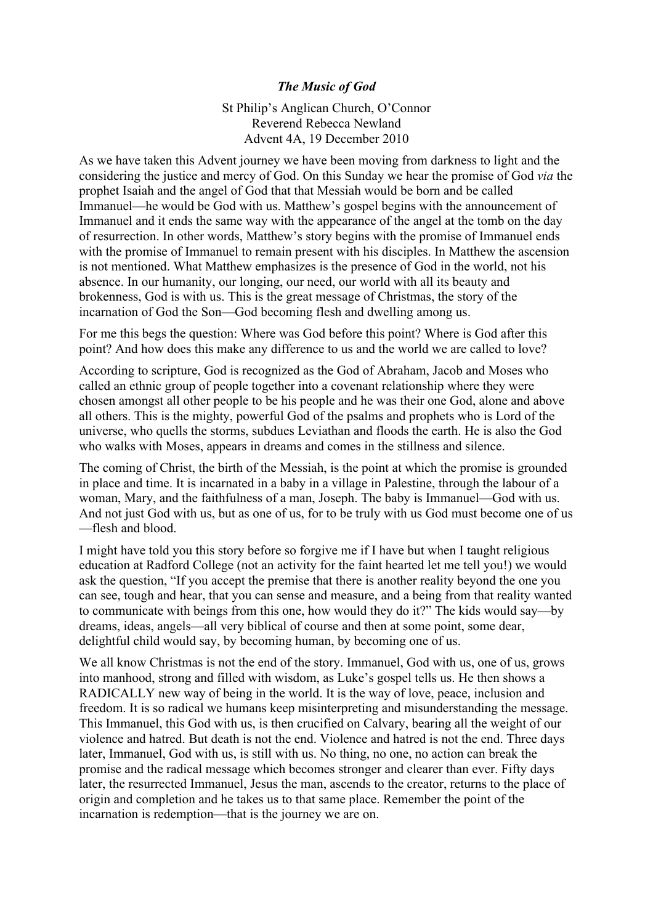## *The Music of God*

St Philip's Anglican Church, O'Connor Reverend Rebecca Newland Advent 4A, 19 December 2010

As we have taken this Advent journey we have been moving from darkness to light and the considering the justice and mercy of God. On this Sunday we hear the promise of God *via* the prophet Isaiah and the angel of God that that Messiah would be born and be called Immanuel—he would be God with us. Matthew's gospel begins with the announcement of Immanuel and it ends the same way with the appearance of the angel at the tomb on the day of resurrection. In other words, Matthew's story begins with the promise of Immanuel ends with the promise of Immanuel to remain present with his disciples. In Matthew the ascension is not mentioned. What Matthew emphasizes is the presence of God in the world, not his absence. In our humanity, our longing, our need, our world with all its beauty and brokenness, God is with us. This is the great message of Christmas, the story of the incarnation of God the Son—God becoming flesh and dwelling among us.

For me this begs the question: Where was God before this point? Where is God after this point? And how does this make any difference to us and the world we are called to love?

According to scripture, God is recognized as the God of Abraham, Jacob and Moses who called an ethnic group of people together into a covenant relationship where they were chosen amongst all other people to be his people and he was their one God, alone and above all others. This is the mighty, powerful God of the psalms and prophets who is Lord of the universe, who quells the storms, subdues Leviathan and floods the earth. He is also the God who walks with Moses, appears in dreams and comes in the stillness and silence.

The coming of Christ, the birth of the Messiah, is the point at which the promise is grounded in place and time. It is incarnated in a baby in a village in Palestine, through the labour of a woman, Mary, and the faithfulness of a man, Joseph. The baby is Immanuel—God with us. And not just God with us, but as one of us, for to be truly with us God must become one of us —flesh and blood.

I might have told you this story before so forgive me if I have but when I taught religious education at Radford College (not an activity for the faint hearted let me tell you!) we would ask the question, "If you accept the premise that there is another reality beyond the one you can see, tough and hear, that you can sense and measure, and a being from that reality wanted to communicate with beings from this one, how would they do it?" The kids would say—by dreams, ideas, angels—all very biblical of course and then at some point, some dear, delightful child would say, by becoming human, by becoming one of us.

We all know Christmas is not the end of the story. Immanuel, God with us, one of us, grows into manhood, strong and filled with wisdom, as Luke's gospel tells us. He then shows a RADICALLY new way of being in the world. It is the way of love, peace, inclusion and freedom. It is so radical we humans keep misinterpreting and misunderstanding the message. This Immanuel, this God with us, is then crucified on Calvary, bearing all the weight of our violence and hatred. But death is not the end. Violence and hatred is not the end. Three days later, Immanuel, God with us, is still with us. No thing, no one, no action can break the promise and the radical message which becomes stronger and clearer than ever. Fifty days later, the resurrected Immanuel, Jesus the man, ascends to the creator, returns to the place of origin and completion and he takes us to that same place. Remember the point of the incarnation is redemption—that is the journey we are on.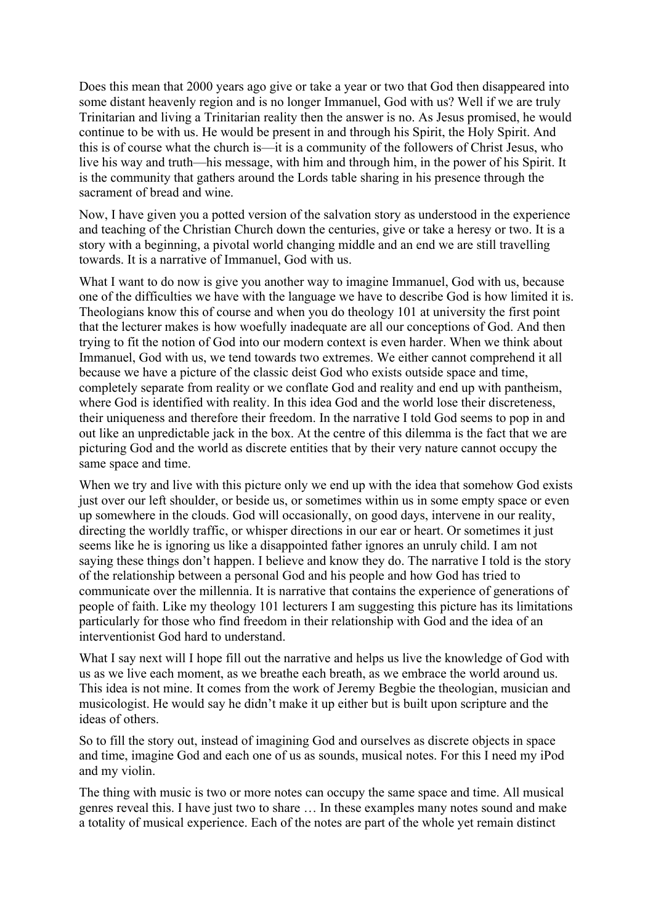Does this mean that 2000 years ago give or take a year or two that God then disappeared into some distant heavenly region and is no longer Immanuel, God with us? Well if we are truly Trinitarian and living a Trinitarian reality then the answer is no. As Jesus promised, he would continue to be with us. He would be present in and through his Spirit, the Holy Spirit. And this is of course what the church is—it is a community of the followers of Christ Jesus, who live his way and truth—his message, with him and through him, in the power of his Spirit. It is the community that gathers around the Lords table sharing in his presence through the sacrament of bread and wine.

Now, I have given you a potted version of the salvation story as understood in the experience and teaching of the Christian Church down the centuries, give or take a heresy or two. It is a story with a beginning, a pivotal world changing middle and an end we are still travelling towards. It is a narrative of Immanuel, God with us.

What I want to do now is give you another way to imagine Immanuel, God with us, because one of the difficulties we have with the language we have to describe God is how limited it is. Theologians know this of course and when you do theology 101 at university the first point that the lecturer makes is how woefully inadequate are all our conceptions of God. And then trying to fit the notion of God into our modern context is even harder. When we think about Immanuel, God with us, we tend towards two extremes. We either cannot comprehend it all because we have a picture of the classic deist God who exists outside space and time, completely separate from reality or we conflate God and reality and end up with pantheism, where God is identified with reality. In this idea God and the world lose their discreteness, their uniqueness and therefore their freedom. In the narrative I told God seems to pop in and out like an unpredictable jack in the box. At the centre of this dilemma is the fact that we are picturing God and the world as discrete entities that by their very nature cannot occupy the same space and time.

When we try and live with this picture only we end up with the idea that somehow God exists just over our left shoulder, or beside us, or sometimes within us in some empty space or even up somewhere in the clouds. God will occasionally, on good days, intervene in our reality, directing the worldly traffic, or whisper directions in our ear or heart. Or sometimes it just seems like he is ignoring us like a disappointed father ignores an unruly child. I am not saying these things don't happen. I believe and know they do. The narrative I told is the story of the relationship between a personal God and his people and how God has tried to communicate over the millennia. It is narrative that contains the experience of generations of people of faith. Like my theology 101 lecturers I am suggesting this picture has its limitations particularly for those who find freedom in their relationship with God and the idea of an interventionist God hard to understand.

What I say next will I hope fill out the narrative and helps us live the knowledge of God with us as we live each moment, as we breathe each breath, as we embrace the world around us. This idea is not mine. It comes from the work of Jeremy Begbie the theologian, musician and musicologist. He would say he didn't make it up either but is built upon scripture and the ideas of others.

So to fill the story out, instead of imagining God and ourselves as discrete objects in space and time, imagine God and each one of us as sounds, musical notes. For this I need my iPod and my violin.

The thing with music is two or more notes can occupy the same space and time. All musical genres reveal this. I have just two to share … In these examples many notes sound and make a totality of musical experience. Each of the notes are part of the whole yet remain distinct